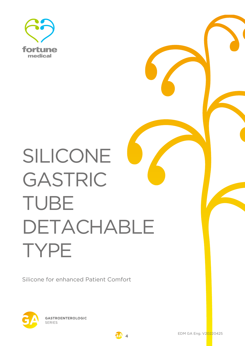

# SILICONE GASTRIC TUBE DETACHABLE TYPE

Silicone for enhanced Patient Comfort



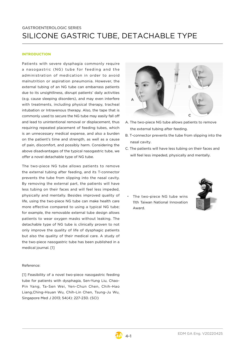## GASTROENTEROLOGIC SERIES SILICONE GASTRIC TUBE, DETACHABLE TYPE

## **INTRODUCTION**

Patients with severe dysphagia commonly require a nasogastric (NG) tube for feeding and the administration of medication in order to avoid malnutrition or aspiration pneumonia. However, the external tubing of an NG tube can embarrass patients due to its unsightliness, disrupt patients' daily activities (e.g. cause sleeping disorders), and may even interfere with treatments, including physical therapy, tracheal intubation or Intravenous therapy. Also, the tape that is commonly used to secure the NG tube may easily fall off and lead to unintentional removal or displacement, thus requiring repeated placement of feeding tubes, which is an unnecessary medical expense, and also a burden on the patient's time and strength, as well as a cause of pain, discomfort, and possibly harm. Considering the above disadvantages of the typical nasogastric tube, we offer a novel detachable type of NG tube.

The two-piece NG tube allows patients to remove the external tubing after feeding, and its T-connector prevents the tube from slipping into the nasal cavity. By removing the external part, the patients will have less tubing on their faces and will feel less impeded, physically and mentally. Besides improved quality of life, using the two-piece NG tube can make health care more effective compared to using a typical NG tube; for example, the removable external tube design allows patients to wear oxygen masks without leaking. The detachable type of NG tube is clinically proven to not only improve the quality of life of dysphagic patients but also the quality of their medical care. A study of the two-piece nasogastric tube has been published in a medical journal. [1]

### Reference:

[1] Feasibility of a novel two-piece nasogastric feeding tube for patients with dysphagia, Sen-Yung Liu, Chao-Pin Yang, Ta-Sen Wei, Yen-Chun Chen, Chih-Hao Liang,Ching-Hsuan Wu, Chih-Lin Chen, Tsung-Ju Wu, Singapore Med J 2013; 54(4): 227-230. (SCI)



- A. The two-piece NG tube allows patients to remove the external tubing after feeding.
- B. T-connector prevents the tube from slipping into the nasal cavity.
- C. The patients will have less tubing on their faces and will feel less impeded, physically and mentally.

The two-piece NG tube wins 11th Taiwan National Innovation Award.



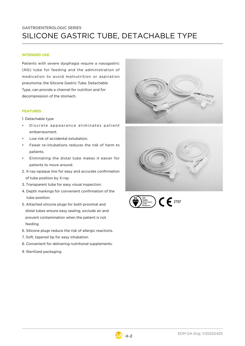## GASTROENTEROLOGIC SERIES SILICONE GASTRIC TUBE, DETACHABLE TYPE

## **INTENDED USE**

Patients with severe dysphagia require a nasogastric (NG) tube for feeding and the administration of medication to avoid malnutrition or aspiration pneumonia, the Silicone Gastric Tube, Detachable Type, can provide a channel for nutrition and for decompression of the stomach.

### **FEATURES**

1. Detachable type

- Discrete appearance eliminates patient embarrassment.
- Low risk of accidental extubation.
- Fewer re-intubations reduces the risk of harm to patients.
- Eliminating the distal tube makes it easier for patients to move around.
- 2. X-ray-opaque line for easy and accurate confirmation of tube position by X-ray
- 3. Transparent tube for easy visual inspection.
- 4. Depth markings for convenient confirmation of the tube position.
- 5. Attached silicone plugs for both proximal and distal tubes ensure easy sealing, exclude air and prevent contamination when the patient is not feeding.
- 6. Silicone plugs reduce the risk of allergic reactions.
- 7. Soft, tapered tip for easy intubation.
- 8. Convenient for delivering nutritional supplements.
- 9. Sterilized packaging.